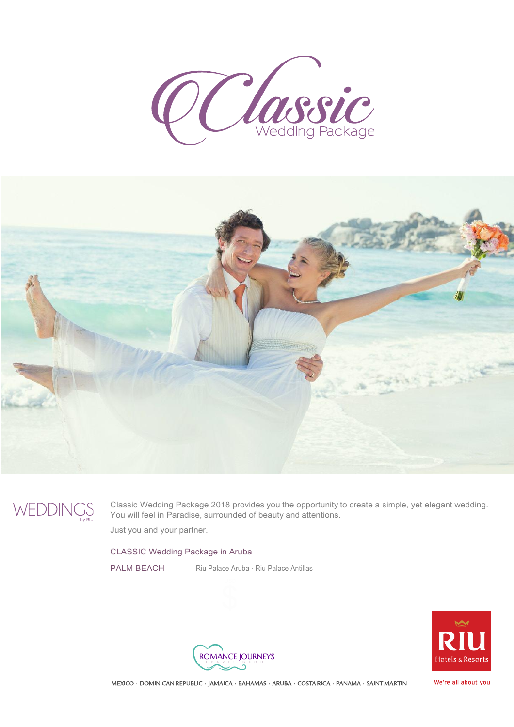



WEDDINGS

Classic Wedding Package 2018 provides you the opportunity to create a simple, yet elegant wedding. You will feel in Paradise, surrounded of beauty and attentions.

Just you and your partner.

## CLASSIC Wedding Package in Aruba

PALM BEACH Riu Palace Aruba · Riu Palace Antillas





MEXICO · DOMINICAN REPUBLIC · JAMAICA · BAHAMAS · ARUBA · COSTA RICA · PANAMA · SAINT MARTIN

We're all about you